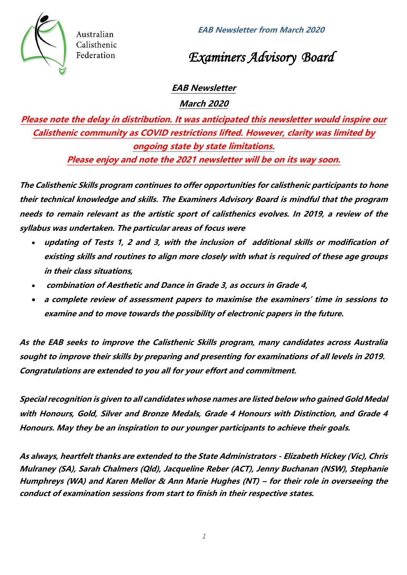



*Examiners Advisory Board*

# **EAB Newsletter**

**March 2020**

**Please note the delay in distribution. It was anticipated this newsletter would inspire our Calisthenic community as COVID restrictions lifted. However, clarity was limited by ongoing state by state limitations. Please enjoy and note the 2021 newsletter will be on its way soon.**

**The Calisthenic Skills program continues to offer opportunities for calisthenic participants to hone their technical knowledge and skills. The Examiners Advisory Board is mindful that the program needs to remain relevant as the artistic sport of calisthenics evolves. In 2019, a review of the syllabus was undertaken. The particular areas of focus were** 

- **updating of Tests 1, 2 and 3, with the inclusion of additional skills or modification of existing skills and routines to align more closely with what is required of these age groups in their class situations,**
- **combination of Aesthetic and Dance in Grade 3, as occurs in Grade 4,**
- **a complete review of assessment papers to maximise the examiners' time in sessions to examine and to move towards the possibility of electronic papers in the future.**

**As the EAB seeks to improve the Calisthenic Skills program, many candidates across Australia sought to improve their skills by preparing and presenting for examinations of all levels in 2019. Congratulations are extended to you all for your effort and commitment.**

**Special recognition is given to all candidates whose names are listed below who gained Gold Medal with Honours, Gold, Silver and Bronze Medals, Grade 4 Honours with Distinction, and Grade 4 Honours. May they be an inspiration to our younger participants to achieve their goals.**

**As always, heartfelt thanks are extended to the State Administrators - Elizabeth Hickey (Vic), Chris Mulraney (SA), Sarah Chalmers (Qld), Jacqueline Reber (ACT), Jenny Buchanan (NSW), Stephanie Humphreys (WA) and Karen Mellor & Ann Marie Hughes (NT) – for their role in overseeing the conduct of examination sessions from start to finish in their respective states.**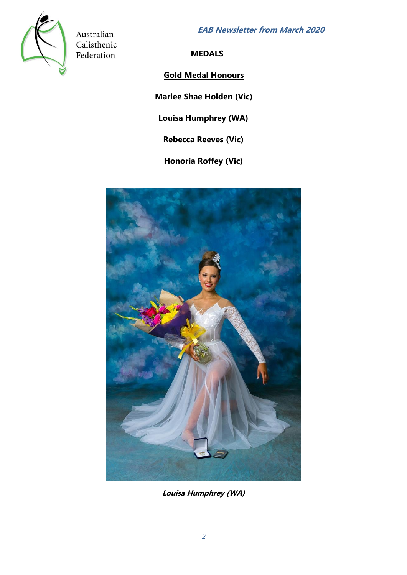**EAB Newsletter from March 2020**



Australian Calisthenic Federation

**MEDALS**

# **Gold Medal Honours**

**Marlee Shae Holden (Vic)** 

**Louisa Humphrey (WA)**

**Rebecca Reeves (Vic)**

**Honoria Roffey (Vic)**



**Louisa Humphrey (WA)**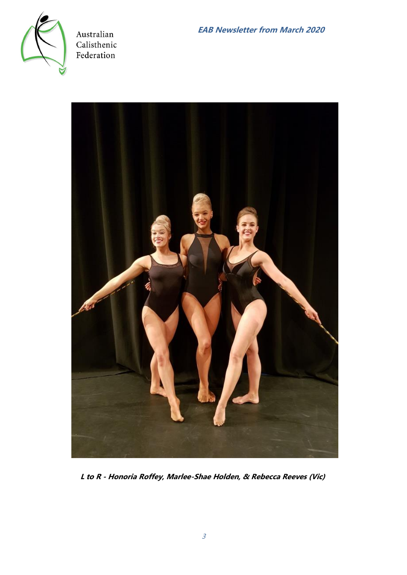



**L to R - Honoria Roffey, Marlee-Shae Holden, & Rebecca Reeves (Vic)**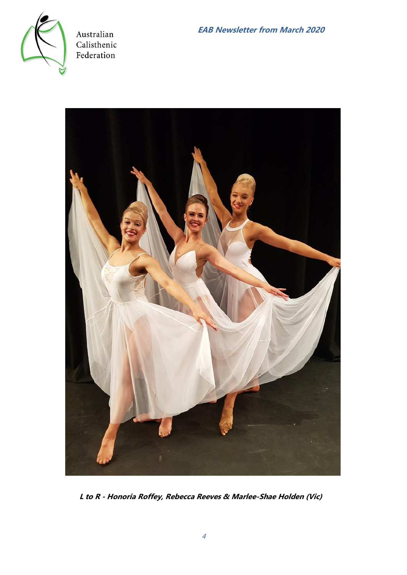



**L to R - Honoria Roffey, Rebecca Reeves & Marlee-Shae Holden (Vic)**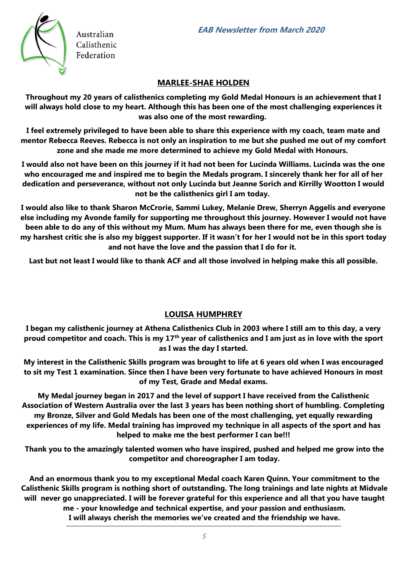

## **MARLEE-SHAE HOLDEN**

**Throughout my 20 years of calisthenics completing my Gold Medal Honours is an achievement that I will always hold close to my heart. Although this has been one of the most challenging experiences it was also one of the most rewarding.** 

**I feel extremely privileged to have been able to share this experience with my coach, team mate and mentor Rebecca Reeves. Rebecca is not only an inspiration to me but she pushed me out of my comfort zone and she made me more determined to achieve my Gold Medal with Honours.** 

**I would also not have been on this journey if it had not been for Lucinda Williams. Lucinda was the one who encouraged me and inspired me to begin the Medals program. I sincerely thank her for all of her dedication and perseverance, without not only Lucinda but Jeanne Sorich and Kirrilly Wootton I would not be the calisthenics girl I am today.** 

**I would also like to thank Sharon McCrorie, Sammi Lukey, Melanie Drew, Sherryn Aggelis and everyone else including my Avonde family for supporting me throughout this journey. However I would not have been able to do any of this without my Mum. Mum has always been there for me, even though she is my harshest critic she is also my biggest supporter. If it wasn't for her I would not be in this sport today and not have the love and the passion that I do for it.** 

**Last but not least I would like to thank ACF and all those involved in helping make this all possible.** 

# **LOUISA HUMPHREY**

**I began my calisthenic journey at Athena Calisthenics Club in 2003 where I still am to this day, a very proud competitor and coach. This is my 17th year of calisthenics and I am just as in love with the sport as I was the day I started.** 

**My interest in the Calisthenic Skills program was brought to life at 6 years old when I was encouraged to sit my Test 1 examination. Since then I have been very fortunate to have achieved Honours in most of my Test, Grade and Medal exams.** 

**My Medal journey began in 2017 and the level of support I have received from the Calisthenic Association of Western Australia over the last 3 years has been nothing short of humbling. Completing my Bronze, Silver and Gold Medals has been one of the most challenging, yet equally rewarding experiences of my life. Medal training has improved my technique in all aspects of the sport and has helped to make me the best performer I can be!!!** 

**Thank you to the amazingly talented women who have inspired, pushed and helped me grow into the competitor and choreographer I am today.** 

**And an enormous thank you to my exceptional Medal coach Karen Quinn. Your commitment to the Calisthenic Skills program is nothing short of outstanding. The long trainings and late nights at Midvale will never go unappreciated. I will be forever grateful for this experience and all that you have taught me - your knowledge and technical expertise, and your passion and enthusiasm. I will always cherish the memories we've created and the friendship we have.**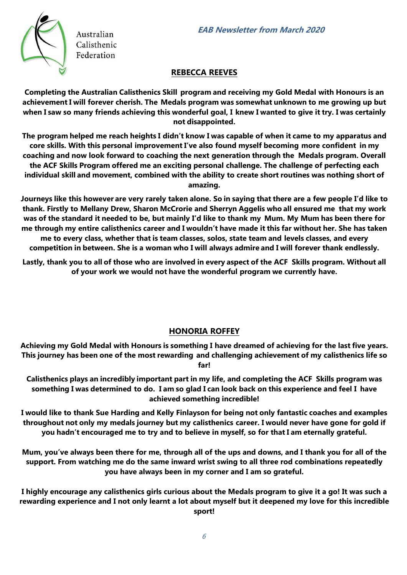

#### **REBECCA REEVES**

**Completing the Australian Calisthenics Skill program and receiving my Gold Medal with Honours is an achievement I will forever cherish. The Medals program was somewhat unknown to me growing up but when I saw so many friends achieving this wonderful goal, I knew I wanted to give it try. I was certainly not disappointed.** 

**The program helped me reach heights I didn't know I was capable of when it came to my apparatus and core skills. With this personal improvement I've also found myself becoming more confident in my coaching and now look forward to coaching the next generation through the Medals program. Overall the ACF Skills Program offered me an exciting personal challenge. The challenge of perfecting each individual skill and movement, combined with the ability to create short routines was nothing short of amazing.** 

**Journeys like this however are very rarely taken alone. So in saying that there are a few people I'd like to thank. Firstly to Mellany Drew, Sharon McCrorie and Sherryn Aggelis who all ensured me that my work was of the standard it needed to be, but mainly I'd like to thank my Mum. My Mum has been there for me through my entire calisthenics career and I wouldn't have made it this far without her. She has taken me to every class, whether that is team classes, solos, state team and levels classes, and every competition in between. She is a woman who I will always admire and I will forever thank endlessly.** 

**Lastly, thank you to all of those who are involved in every aspect of the ACF Skills program. Without all of your work we would not have the wonderful program we currently have.** 

# **HONORIA ROFFEY**

**Achieving my Gold Medal with Honours is something I have dreamed of achieving for the last five years. This journey has been one of the most rewarding and challenging achievement of my calisthenics life so far!** 

**Calisthenics plays an incredibly important part in my life, and completing the ACF Skills program was something I was determined to do. I am so glad I can look back on this experience and feel I have achieved something incredible!** 

**I would like to thank Sue Harding and Kelly Finlayson for being not only fantastic coaches and examples throughout not only my medals journey but my calisthenics career. I would never have gone for gold if you hadn't encouraged me to try and to believe in myself, so for that I am eternally grateful.** 

**Mum, you've always been there for me, through all of the ups and downs, and I thank you for all of the support. From watching me do the same inward wrist swing to all three rod combinations repeatedly you have always been in my corner and I am so grateful.** 

**I highly encourage any calisthenics girls curious about the Medals program to give it a go! It was such a rewarding experience and I not only learnt a lot about myself but it deepened my love for this incredible sport!**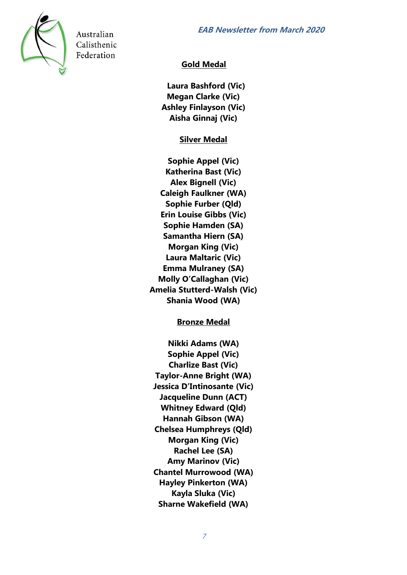

# **Gold Medal**

**Laura Bashford (Vic) Megan Clarke (Vic) Ashley Finlayson (Vic) Aisha Ginnaj (Vic)** 

**Silver Medal** 

**Sophie Appel (Vic) Katherina Bast (Vic) Alex Bignell (Vic) Caleigh Faulkner (WA) Sophie Furber (Qld) Erin Louise Gibbs (Vic) Sophie Hamden (SA) Samantha Hiern (SA) Morgan King (Vic) Laura Maltaric (Vic) Emma Mulraney (SA) Molly O'Callaghan (Vic) Amelia Stutterd-Walsh (Vic) Shania Wood (WA)** 

**Bronze Medal** 

**Nikki Adams (WA) Sophie Appel (Vic) Charlize Bast (Vic) Taylor-Anne Bright (WA) Jessica D'Intinosante (Vic) Jacqueline Dunn (ACT) Whitney Edward (Qld) Hannah Gibson (WA) Chelsea Humphreys (Qld) Morgan King (Vic) Rachel Lee (SA) Amy Marinov (Vic) Chantel Murrowood (WA) Hayley Pinkerton (WA) Kayla Sluka (Vic) Sharne Wakefield (WA)**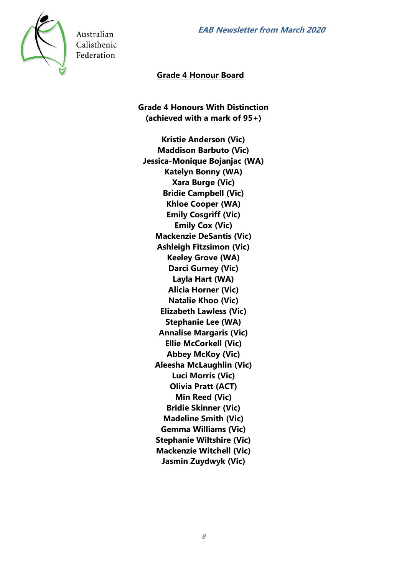

## **Grade 4 Honour Board**

**Grade 4 Honours With Distinction (achieved with a mark of 95+)** 

**Kristie Anderson (Vic) Maddison Barbuto (Vic) Jessica-Monique Bojanjac (WA) Katelyn Bonny (WA) Xara Burge (Vic) Bridie Campbell (Vic) Khloe Cooper (WA) Emily Cosgriff (Vic) Emily Cox (Vic) Mackenzie DeSantis (Vic) Ashleigh Fitzsimon (Vic) Keeley Grove (WA) Darci Gurney (Vic) Layla Hart (WA) Alicia Horner (Vic) Natalie Khoo (Vic) Elizabeth Lawless (Vic) Stephanie Lee (WA) Annalise Margaris (Vic) Ellie McCorkell (Vic) Abbey McKoy (Vic) Aleesha McLaughlin (Vic) Luci Morris (Vic) Olivia Pratt (ACT) Min Reed (Vic) Bridie Skinner (Vic) Madeline Smith (Vic) Gemma Williams (Vic) Stephanie Wiltshire (Vic) Mackenzie Witchell (Vic) Jasmin Zuydwyk (Vic)**